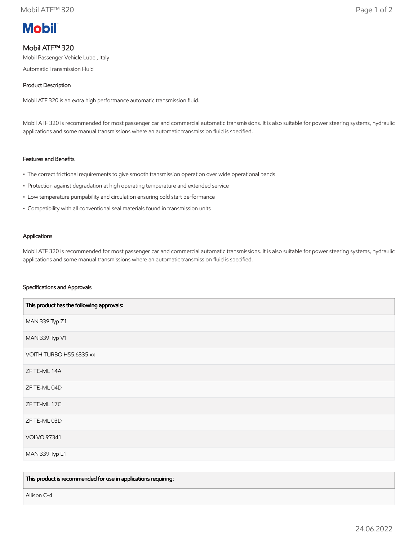# **Mobil**

# Mobil ATF™ 320

Mobil Passenger Vehicle Lube , Italy

Automatic Transmission Fluid

# Product Description

Mobil ATF 320 is an extra high performance automatic transmission fluid.

Mobil ATF 320 is recommended for most passenger car and commercial automatic transmissions. It is also suitable for power steering systems, hydraulic applications and some manual transmissions where an automatic transmission fluid is specified.

# Features and Benefits

- The correct frictional requirements to give smooth transmission operation over wide operational bands
- Protection against degradation at high operating temperature and extended service
- Low temperature pumpability and circulation ensuring cold start performance
- Compatibility with all conventional seal materials found in transmission units

# Applications

Mobil ATF 320 is recommended for most passenger car and commercial automatic transmissions. It is also suitable for power steering systems, hydraulic applications and some manual transmissions where an automatic transmission fluid is specified.

# Specifications and Approvals

| This product has the following approvals: |
|-------------------------------------------|
| MAN 339 Typ Z1                            |
| MAN 339 Typ V1                            |
| VOITH TURBO H55.6335.xx                   |
| ZF TE-ML 14A                              |
| ZF TE-ML 04D                              |
| ZF TE-ML 17C                              |
| ZF TE-ML 03D                              |
| <b>VOLVO 97341</b>                        |
| MAN 339 Typ L1                            |

This product is recommended for use in applications requiring:

Allison C-4